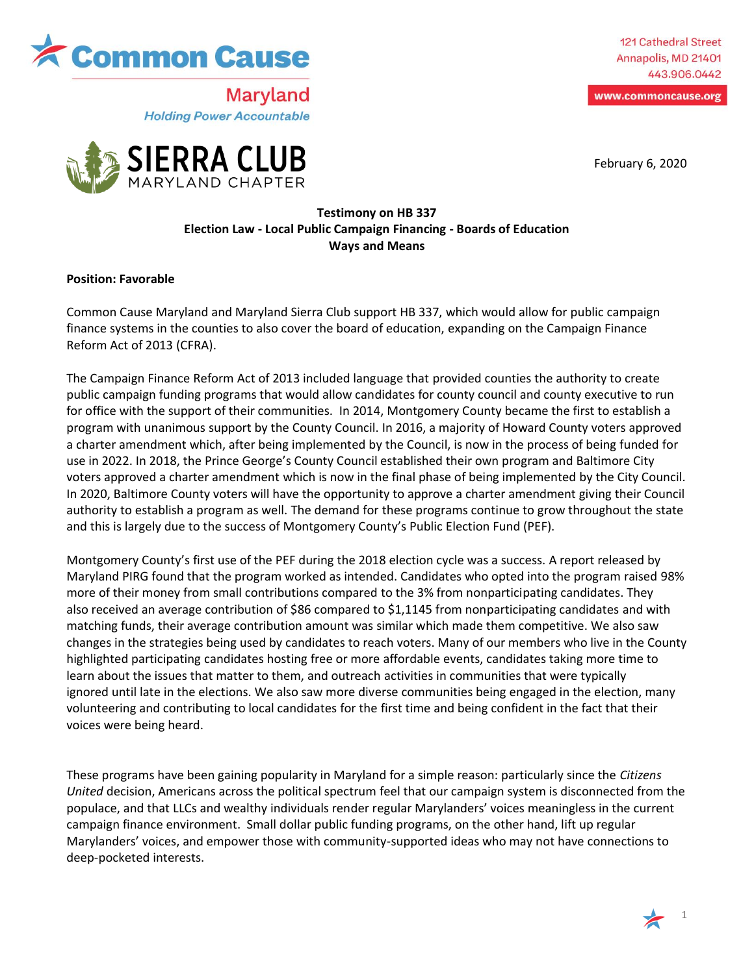

121 Cathedral Street Annapolis, MD 21401 443.906.0442

www.commoncause.org

February 6, 2020



**Maryland** 

**Holding Power Accountable** 

## **Testimony on HB 337 Election Law - Local Public Campaign Financing - Boards of Education Ways and Means**

## **Position: Favorable**

Common Cause Maryland and Maryland Sierra Club support HB 337, which would allow for public campaign finance systems in the counties to also cover the board of education, expanding on the Campaign Finance Reform Act of 2013 (CFRA).

The Campaign Finance Reform Act of 2013 included language that provided counties the authority to create public campaign funding programs that would allow candidates for county council and county executive to run for office with the support of their communities. In 2014, Montgomery County became the first to establish a program with unanimous support by the County Council. In 2016, a majority of Howard County voters approved a charter amendment which, after being implemented by the Council, is now in the process of being funded for use in 2022. In 2018, the Prince George's County Council established their own program and Baltimore City voters approved a charter amendment which is now in the final phase of being implemented by the City Council. In 2020, Baltimore County voters will have the opportunity to approve a charter amendment giving their Council authority to establish a program as well. The demand for these programs continue to grow throughout the state and this is largely due to the success of Montgomery County's Public Election Fund (PEF).

Montgomery County's first use of the PEF during the 2018 election cycle was a success. A report released by Maryland PIRG found that the program worked as intended. Candidates who opted into the program raised 98% more of their money from small contributions compared to the 3% from nonparticipating candidates. They also received an average contribution of \$86 compared to \$1,1145 from nonparticipating candidates and with matching funds, their average contribution amount was similar which made them competitive. We also saw changes in the strategies being used by candidates to reach voters. Many of our members who live in the County highlighted participating candidates hosting free or more affordable events, candidates taking more time to learn about the issues that matter to them, and outreach activities in communities that were typically ignored until late in the elections. We also saw more diverse communities being engaged in the election, many volunteering and contributing to local candidates for the first time and being confident in the fact that their voices were being heard.

These programs have been gaining popularity in Maryland for a simple reason: particularly since the *Citizens United* decision, Americans across the political spectrum feel that our campaign system is disconnected from the populace, and that LLCs and wealthy individuals render regular Marylanders' voices meaningless in the current campaign finance environment. Small dollar public funding programs, on the other hand, lift up regular Marylanders' voices, and empower those with community-supported ideas who may not have connections to deep-pocketed interests.

1